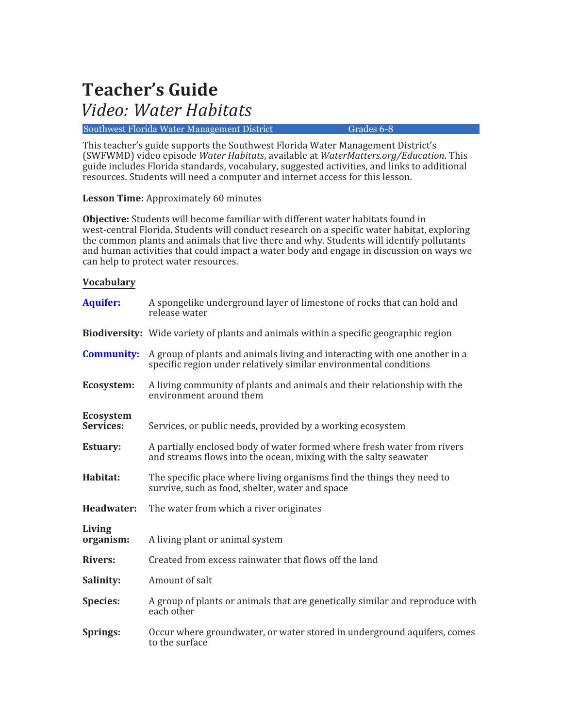# **Teacher's Guide**

## *Video: Water Habitats*

## Southwest Florida Water Management District Grades 6-8

This teacher's guide supports the Southwest Florida Water Management District's (SWFWMD) video episode *Water Habitats*, available at *WaterMatters.org/Education*. This guide includes Florida standards, vocabulary, suggested activities, and links to additional resources. Students will need a computer and internet access for this lesson.

**Lesson Time:** Approximately 60 minutes

**Objective:** Students will become familiar with different water habitats found in west-central Florida. Students will conduct research on a specific water habitat, exploring the common plants and animals that live there and why. Students will identify pollutants and human activities that could impact a water body and engage in discussion on ways we can help to protect water resources.

## **Vocabulary**

| <b>Aquifer:</b>               | A spongelike underground layer of limestone of rocks that can hold and<br>release water                                                         |
|-------------------------------|-------------------------------------------------------------------------------------------------------------------------------------------------|
|                               | <b>Biodiversity:</b> Wide variety of plants and animals within a specific geographic region                                                     |
| <b>Community:</b>             | A group of plants and animals living and interacting with one another in a<br>specific region under relatively similar environmental conditions |
| Ecosystem:                    | A living community of plants and animals and their relationship with the<br>environment around them                                             |
| <b>Ecosystem</b><br>Services: | Services, or public needs, provided by a working ecosystem                                                                                      |
| <b>Estuary:</b>               | A partially enclosed body of water formed where fresh water from rivers<br>and streams flows into the ocean, mixing with the salty seawater     |
| Habitat:                      | The specific place where living organisms find the things they need to<br>survive, such as food, shelter, water and space                       |
| Headwater:                    | The water from which a river originates                                                                                                         |
| Living<br>organism:           | A living plant or animal system                                                                                                                 |
| <b>Rivers:</b>                | Created from excess rainwater that flows off the land                                                                                           |
| Salinity:                     | Amount of salt                                                                                                                                  |
| <b>Species:</b>               | A group of plants or animals that are genetically similar and reproduce with<br>each other                                                      |
| Springs:                      | Occur where groundwater, or water stored in underground aquifers, comes<br>to the surface                                                       |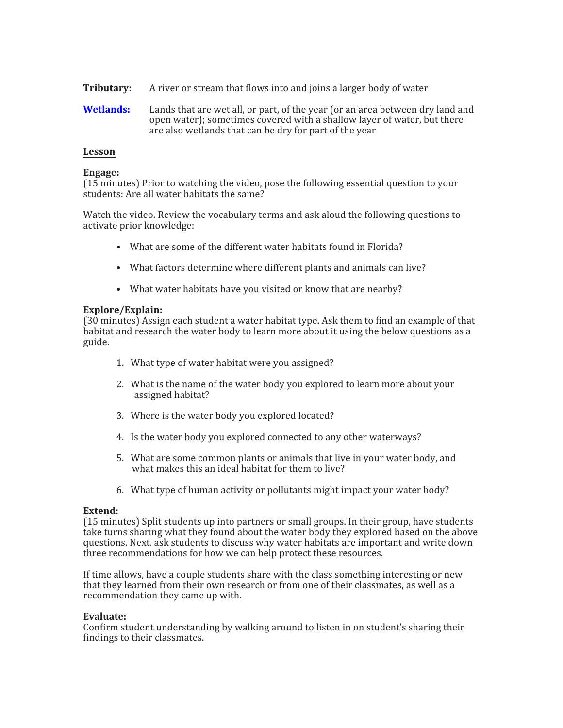- **Tributary:** A river or stream that flows into and joins a larger body of water
- **[Wetlands:](https://www.swfwmd.state.fl.us/sites/default/files/store_products/poster_wetland.pdf)** Lands that are wet all, or part, of the year (or an area between dry land and open water); sometimes covered with a shallow layer of water, but there are also wetlands that can be dry for part of the year

## **Lesson**

### **Engage:**

(15 minutes) Prior to watching the video, pose the following essential question to your students: Are all water habitats the same?

Watch the video. Review the vocabulary terms and ask aloud the following questions to activate prior knowledge:

- What are some of the different water habitats found in Florida?
- What factors determine where different plants and animals can live?
- What water habitats have you visited or know that are nearby?

#### **Explore/Explain:**

(30 minutes) Assign each student a water habitat type. Ask them to �ind an example of that habitat and research the water body to learn more about it using the below questions as a guide.

- 1. What type of water habitat were you assigned?
- 2. What is the name of the water body you explored to learn more about your assigned habitat?
- 3. Where is the water body you explored located?
- 4. Is the water body you explored connected to any other waterways?
- 5. What are some common plants or animals that live in your water body, and what makes this an ideal habitat for them to live?
- 6. What type of human activity or pollutants might impact your water body?

### **Extend:**

(15 minutes) Split students up into partners or small groups. In their group, have students take turns sharing what they found about the water body they explored based on the above questions. Next, ask students to discuss why water habitats are important and write down three recommendations for how we can help protect these resources.

If time allows, have a couple students share with the class something interesting or new that they learned from their own research or from one of their classmates, as well as a recommendation they came up with.

#### **Evaluate:**

Confirm student understanding by walking around to listen in on student's sharing their findings to their classmates.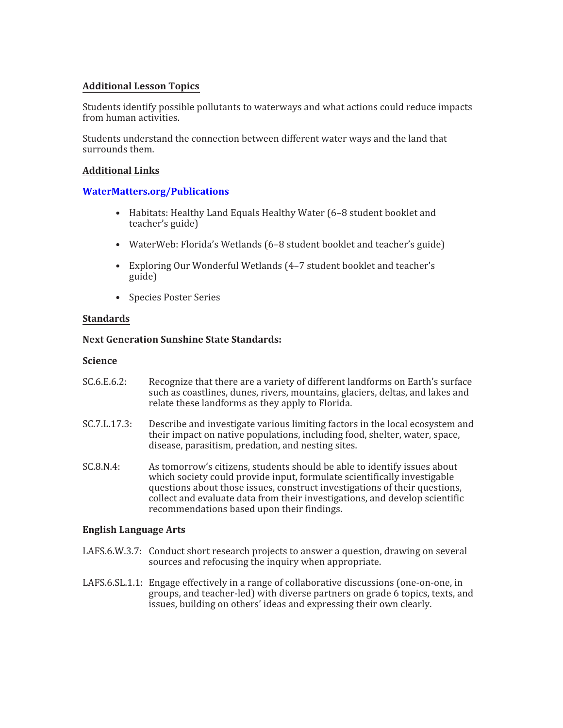## **Additional Lesson Topics**

Students identify possible pollutants to waterways and what actions could reduce impacts from human activities.

Students understand the connection between different water ways and the land that surrounds them.

## **Additional Links**

## **[WaterMatters.org/Publications](https://www.swfwmd.state.fl.us/resources/free-publications)**

- Habitats: Healthy Land Equals Healthy Water (6–8 student booklet and teacher's guide)
- WaterWeb: Florida's Wetlands (6–8 student booklet and teacher's guide)
- Exploring Our Wonderful Wetlands (4–7 student booklet and teacher's guide)
- Species Poster Series

## **Standards**

## **Next Generation Sunshine State Standards:**

### **Science**

- SC.6.E.6.2: Recognize that there are a variety of different landforms on Earth's surface such as coastlines, dunes, rivers, mountains, glaciers, deltas, and lakes and relate these landforms as they apply to Florida.
- SC.7.L.17.3: Describe and investigate various limiting factors in the local ecosystem and their impact on native populations, including food, shelter, water, space, disease, parasitism, predation, and nesting sites.
- SC.8.N.4: As tomorrow's citizens, students should be able to identify issues about which society could provide input, formulate scientifically investigable questions about those issues, construct investigations of their questions, collect and evaluate data from their investigations, and develop scientific recommendations based upon their findings.

## **English Language Arts**

- LAFS.6.W.3.7: Conduct short research projects to answer a question, drawing on several sources and refocusing the inquiry when appropriate.
- LAFS.6.SL.1.1: Engage effectively in a range of collaborative discussions (one-on-one, in groups, and teacher-led) with diverse partners on grade 6 topics, texts, and issues, building on others' ideas and expressing their own clearly.